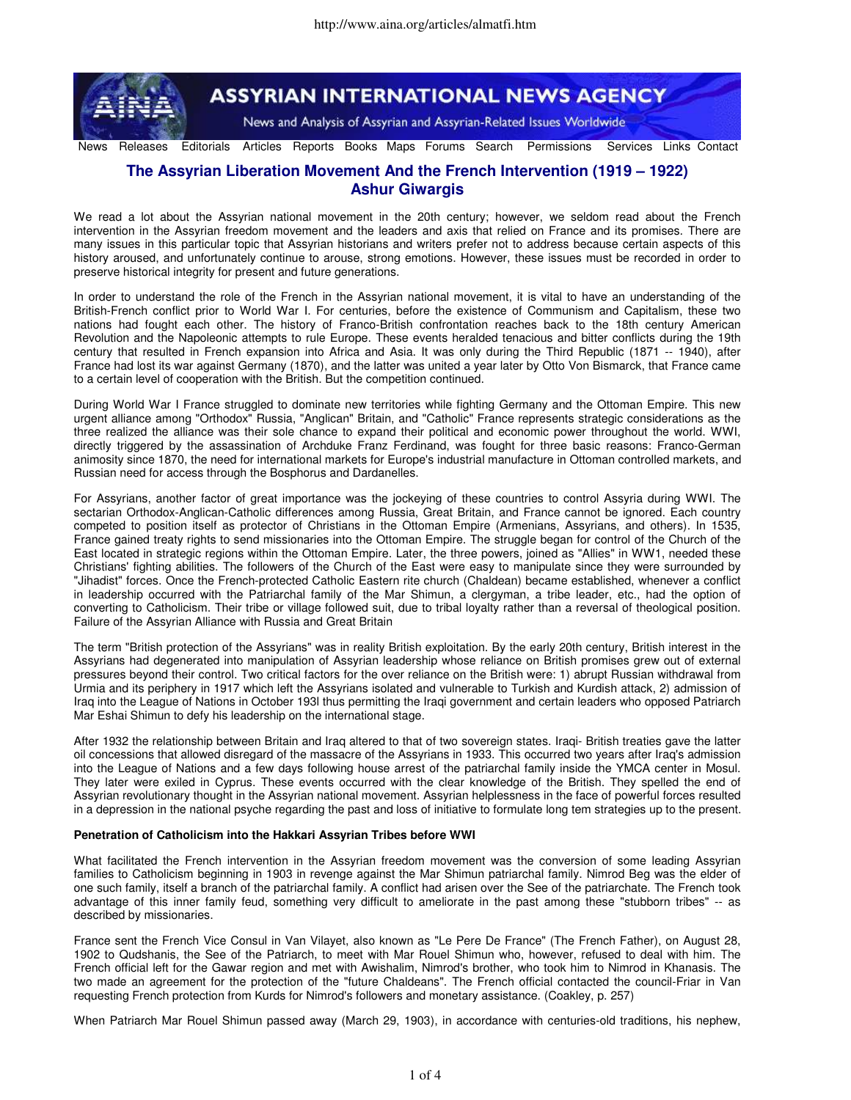

**ASSYRIAN INTERNATIONAL NEWS AGENCY** 

News and Analysis of Assyrian and Assyrian-Related Issues Worldwide

News Releases Editorials Articles Reports Books Maps Forums Search Permissions Services Links Contact

# **The Assyrian Liberation Movement And the French Intervention (1919 – 1922) Ashur Giwargis**

We read a lot about the Assyrian national movement in the 20th century; however, we seldom read about the French intervention in the Assyrian freedom movement and the leaders and axis that relied on France and its promises. There are many issues in this particular topic that Assyrian historians and writers prefer not to address because certain aspects of this history aroused, and unfortunately continue to arouse, strong emotions. However, these issues must be recorded in order to preserve historical integrity for present and future generations.

In order to understand the role of the French in the Assyrian national movement, it is vital to have an understanding of the British-French conflict prior to World War I. For centuries, before the existence of Communism and Capitalism, these two nations had fought each other. The history of Franco-British confrontation reaches back to the 18th century American Revolution and the Napoleonic attempts to rule Europe. These events heralded tenacious and bitter conflicts during the 19th century that resulted in French expansion into Africa and Asia. It was only during the Third Republic (1871 -- 1940), after France had lost its war against Germany (1870), and the latter was united a year later by Otto Von Bismarck, that France came to a certain level of cooperation with the British. But the competition continued.

During World War I France struggled to dominate new territories while fighting Germany and the Ottoman Empire. This new urgent alliance among "Orthodox" Russia, "Anglican" Britain, and "Catholic" France represents strategic considerations as the three realized the alliance was their sole chance to expand their political and economic power throughout the world. WWI, directly triggered by the assassination of Archduke Franz Ferdinand, was fought for three basic reasons: Franco-German animosity since 1870, the need for international markets for Europe's industrial manufacture in Ottoman controlled markets, and Russian need for access through the Bosphorus and Dardanelles.

For Assyrians, another factor of great importance was the jockeying of these countries to control Assyria during WWI. The sectarian Orthodox-Anglican-Catholic differences among Russia, Great Britain, and France cannot be ignored. Each country competed to position itself as protector of Christians in the Ottoman Empire (Armenians, Assyrians, and others). In 1535, France gained treaty rights to send missionaries into the Ottoman Empire. The struggle began for control of the Church of the East located in strategic regions within the Ottoman Empire. Later, the three powers, joined as "Allies" in WW1, needed these Christians' fighting abilities. The followers of the Church of the East were easy to manipulate since they were surrounded by "Jihadist" forces. Once the French-protected Catholic Eastern rite church (Chaldean) became established, whenever a conflict in leadership occurred with the Patriarchal family of the Mar Shimun, a clergyman, a tribe leader, etc., had the option of converting to Catholicism. Their tribe or village followed suit, due to tribal loyalty rather than a reversal of theological position. Failure of the Assyrian Alliance with Russia and Great Britain

The term "British protection of the Assyrians" was in reality British exploitation. By the early 20th century, British interest in the Assyrians had degenerated into manipulation of Assyrian leadership whose reliance on British promises grew out of external pressures beyond their control. Two critical factors for the over reliance on the British were: 1) abrupt Russian withdrawal from Urmia and its periphery in 1917 which left the Assyrians isolated and vulnerable to Turkish and Kurdish attack, 2) admission of Iraq into the League of Nations in October 193l thus permitting the Iraqi government and certain leaders who opposed Patriarch Mar Eshai Shimun to defy his leadership on the international stage.

After 1932 the relationship between Britain and Iraq altered to that of two sovereign states. Iraqi- British treaties gave the latter oil concessions that allowed disregard of the massacre of the Assyrians in 1933. This occurred two years after Iraq's admission into the League of Nations and a few days following house arrest of the patriarchal family inside the YMCA center in Mosul. They later were exiled in Cyprus. These events occurred with the clear knowledge of the British. They spelled the end of Assyrian revolutionary thought in the Assyrian national movement. Assyrian helplessness in the face of powerful forces resulted in a depression in the national psyche regarding the past and loss of initiative to formulate long tem strategies up to the present.

## **Penetration of Catholicism into the Hakkari Assyrian Tribes before WWI**

What facilitated the French intervention in the Assyrian freedom movement was the conversion of some leading Assyrian families to Catholicism beginning in 1903 in revenge against the Mar Shimun patriarchal family. Nimrod Beg was the elder of one such family, itself a branch of the patriarchal family. A conflict had arisen over the See of the patriarchate. The French took advantage of this inner family feud, something very difficult to ameliorate in the past among these "stubborn tribes" -- as described by missionaries.

France sent the French Vice Consul in Van Vilayet, also known as "Le Pere De France" (The French Father), on August 28, 1902 to Qudshanis, the See of the Patriarch, to meet with Mar Rouel Shimun who, however, refused to deal with him. The French official left for the Gawar region and met with Awishalim, Nimrod's brother, who took him to Nimrod in Khanasis. The two made an agreement for the protection of the "future Chaldeans". The French official contacted the council-Friar in Van requesting French protection from Kurds for Nimrod's followers and monetary assistance. (Coakley, p. 257)

When Patriarch Mar Rouel Shimun passed away (March 29, 1903), in accordance with centuries-old traditions, his nephew,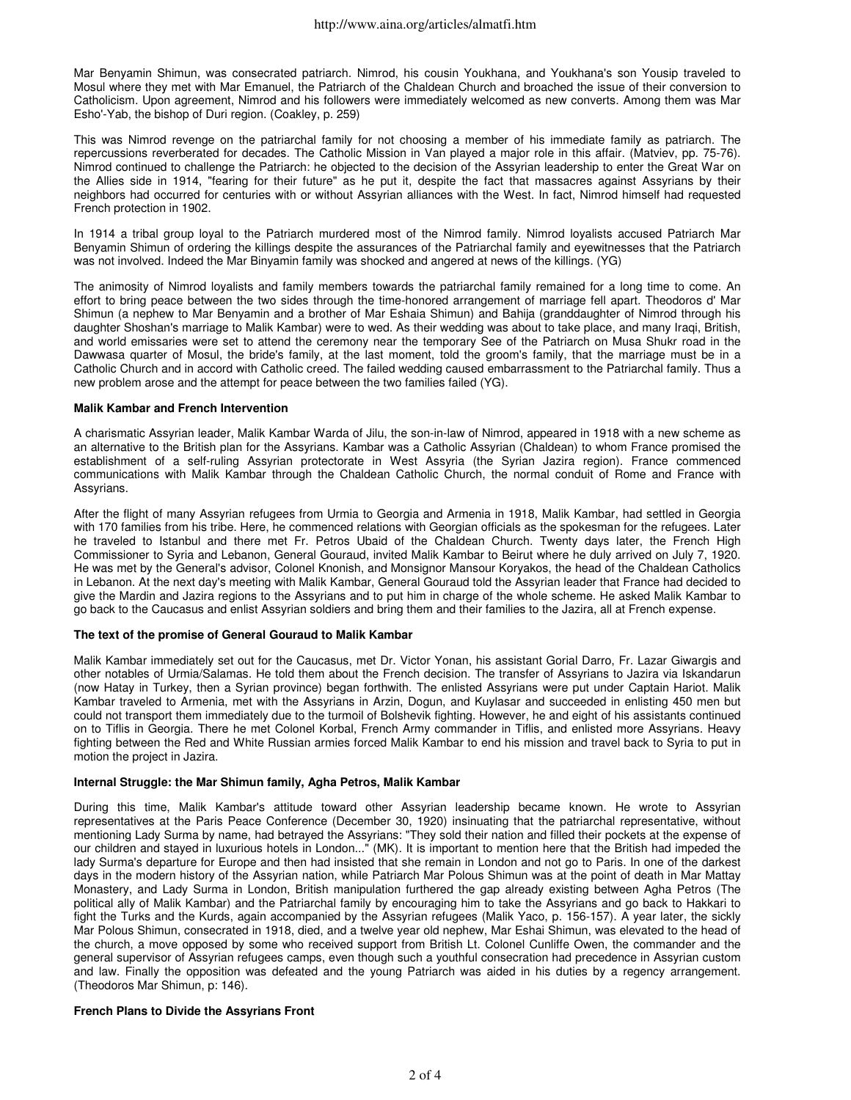Mar Benyamin Shimun, was consecrated patriarch. Nimrod, his cousin Youkhana, and Youkhana's son Yousip traveled to Mosul where they met with Mar Emanuel, the Patriarch of the Chaldean Church and broached the issue of their conversion to Catholicism. Upon agreement, Nimrod and his followers were immediately welcomed as new converts. Among them was Mar Esho'-Yab, the bishop of Duri region. (Coakley, p. 259)

This was Nimrod revenge on the patriarchal family for not choosing a member of his immediate family as patriarch. The repercussions reverberated for decades. The Catholic Mission in Van played a major role in this affair. (Matviev, pp. 75-76). Nimrod continued to challenge the Patriarch: he objected to the decision of the Assyrian leadership to enter the Great War on the Allies side in 1914, "fearing for their future" as he put it, despite the fact that massacres against Assyrians by their neighbors had occurred for centuries with or without Assyrian alliances with the West. In fact, Nimrod himself had requested French protection in 1902.

In 1914 a tribal group loyal to the Patriarch murdered most of the Nimrod family. Nimrod loyalists accused Patriarch Mar Benyamin Shimun of ordering the killings despite the assurances of the Patriarchal family and eyewitnesses that the Patriarch was not involved. Indeed the Mar Binyamin family was shocked and angered at news of the killings. (YG)

The animosity of Nimrod loyalists and family members towards the patriarchal family remained for a long time to come. An effort to bring peace between the two sides through the time-honored arrangement of marriage fell apart. Theodoros d' Mar Shimun (a nephew to Mar Benyamin and a brother of Mar Eshaia Shimun) and Bahija (granddaughter of Nimrod through his daughter Shoshan's marriage to Malik Kambar) were to wed. As their wedding was about to take place, and many Iraqi, British, and world emissaries were set to attend the ceremony near the temporary See of the Patriarch on Musa Shukr road in the Dawwasa quarter of Mosul, the bride's family, at the last moment, told the groom's family, that the marriage must be in a Catholic Church and in accord with Catholic creed. The failed wedding caused embarrassment to the Patriarchal family. Thus a new problem arose and the attempt for peace between the two families failed (YG).

## **Malik Kambar and French Intervention**

A charismatic Assyrian leader, Malik Kambar Warda of Jilu, the son-in-law of Nimrod, appeared in 1918 with a new scheme as an alternative to the British plan for the Assyrians. Kambar was a Catholic Assyrian (Chaldean) to whom France promised the establishment of a self-ruling Assyrian protectorate in West Assyria (the Syrian Jazira region). France commenced communications with Malik Kambar through the Chaldean Catholic Church, the normal conduit of Rome and France with Assyrians.

After the flight of many Assyrian refugees from Urmia to Georgia and Armenia in 1918, Malik Kambar, had settled in Georgia with 170 families from his tribe. Here, he commenced relations with Georgian officials as the spokesman for the refugees. Later he traveled to Istanbul and there met Fr. Petros Ubaid of the Chaldean Church. Twenty days later, the French High Commissioner to Syria and Lebanon, General Gouraud, invited Malik Kambar to Beirut where he duly arrived on July 7, 1920. He was met by the General's advisor, Colonel Knonish, and Monsignor Mansour Koryakos, the head of the Chaldean Catholics in Lebanon. At the next day's meeting with Malik Kambar, General Gouraud told the Assyrian leader that France had decided to give the Mardin and Jazira regions to the Assyrians and to put him in charge of the whole scheme. He asked Malik Kambar to go back to the Caucasus and enlist Assyrian soldiers and bring them and their families to the Jazira, all at French expense.

## **The text of the promise of General Gouraud to Malik Kambar**

Malik Kambar immediately set out for the Caucasus, met Dr. Victor Yonan, his assistant Gorial Darro, Fr. Lazar Giwargis and other notables of Urmia/Salamas. He told them about the French decision. The transfer of Assyrians to Jazira via Iskandarun (now Hatay in Turkey, then a Syrian province) began forthwith. The enlisted Assyrians were put under Captain Hariot. Malik Kambar traveled to Armenia, met with the Assyrians in Arzin, Dogun, and Kuylasar and succeeded in enlisting 450 men but could not transport them immediately due to the turmoil of Bolshevik fighting. However, he and eight of his assistants continued on to Tiflis in Georgia. There he met Colonel Korbal, French Army commander in Tiflis, and enlisted more Assyrians. Heavy fighting between the Red and White Russian armies forced Malik Kambar to end his mission and travel back to Syria to put in motion the project in Jazira.

## **Internal Struggle: the Mar Shimun family, Agha Petros, Malik Kambar**

During this time, Malik Kambar's attitude toward other Assyrian leadership became known. He wrote to Assyrian representatives at the Paris Peace Conference (December 30, 1920) insinuating that the patriarchal representative, without mentioning Lady Surma by name, had betrayed the Assyrians: "They sold their nation and filled their pockets at the expense of our children and stayed in luxurious hotels in London..." (MK). It is important to mention here that the British had impeded the lady Surma's departure for Europe and then had insisted that she remain in London and not go to Paris. In one of the darkest days in the modern history of the Assyrian nation, while Patriarch Mar Polous Shimun was at the point of death in Mar Mattay Monastery, and Lady Surma in London, British manipulation furthered the gap already existing between Agha Petros (The political ally of Malik Kambar) and the Patriarchal family by encouraging him to take the Assyrians and go back to Hakkari to fight the Turks and the Kurds, again accompanied by the Assyrian refugees (Malik Yaco, p. 156-157). A year later, the sickly Mar Polous Shimun, consecrated in 1918, died, and a twelve year old nephew, Mar Eshai Shimun, was elevated to the head of the church, a move opposed by some who received support from British Lt. Colonel Cunliffe Owen, the commander and the general supervisor of Assyrian refugees camps, even though such a youthful consecration had precedence in Assyrian custom and law. Finally the opposition was defeated and the young Patriarch was aided in his duties by a regency arrangement. (Theodoros Mar Shimun, p: 146).

## **French Plans to Divide the Assyrians Front**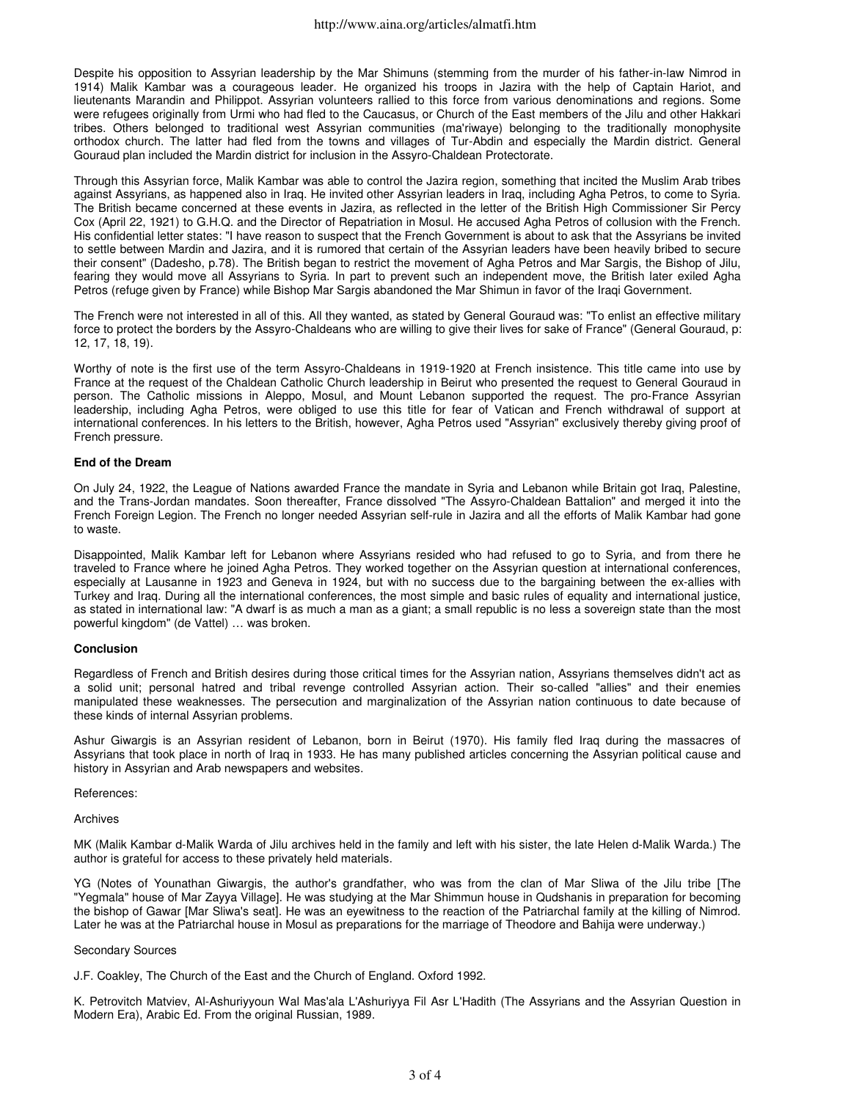Despite his opposition to Assyrian leadership by the Mar Shimuns (stemming from the murder of his father-in-law Nimrod in 1914) Malik Kambar was a courageous leader. He organized his troops in Jazira with the help of Captain Hariot, and lieutenants Marandin and Philippot. Assyrian volunteers rallied to this force from various denominations and regions. Some were refugees originally from Urmi who had fled to the Caucasus, or Church of the East members of the Jilu and other Hakkari tribes. Others belonged to traditional west Assyrian communities (ma'riwaye) belonging to the traditionally monophysite orthodox church. The latter had fled from the towns and villages of Tur-Abdin and especially the Mardin district. General Gouraud plan included the Mardin district for inclusion in the Assyro-Chaldean Protectorate.

Through this Assyrian force, Malik Kambar was able to control the Jazira region, something that incited the Muslim Arab tribes against Assyrians, as happened also in Iraq. He invited other Assyrian leaders in Iraq, including Agha Petros, to come to Syria. The British became concerned at these events in Jazira, as reflected in the letter of the British High Commissioner Sir Percy Cox (April 22, 1921) to G.H.Q. and the Director of Repatriation in Mosul. He accused Agha Petros of collusion with the French. His confidential letter states: "I have reason to suspect that the French Government is about to ask that the Assyrians be invited to settle between Mardin and Jazira, and it is rumored that certain of the Assyrian leaders have been heavily bribed to secure their consent" (Dadesho, p.78). The British began to restrict the movement of Agha Petros and Mar Sargis, the Bishop of Jilu, fearing they would move all Assyrians to Syria. In part to prevent such an independent move, the British later exiled Agha Petros (refuge given by France) while Bishop Mar Sargis abandoned the Mar Shimun in favor of the Iraqi Government.

The French were not interested in all of this. All they wanted, as stated by General Gouraud was: "To enlist an effective military force to protect the borders by the Assyro-Chaldeans who are willing to give their lives for sake of France" (General Gouraud, p: 12, 17, 18, 19).

Worthy of note is the first use of the term Assyro-Chaldeans in 1919-1920 at French insistence. This title came into use by France at the request of the Chaldean Catholic Church leadership in Beirut who presented the request to General Gouraud in person. The Catholic missions in Aleppo, Mosul, and Mount Lebanon supported the request. The pro-France Assyrian leadership, including Agha Petros, were obliged to use this title for fear of Vatican and French withdrawal of support at international conferences. In his letters to the British, however, Agha Petros used "Assyrian" exclusively thereby giving proof of French pressure.

## **End of the Dream**

On July 24, 1922, the League of Nations awarded France the mandate in Syria and Lebanon while Britain got Iraq, Palestine, and the Trans-Jordan mandates. Soon thereafter, France dissolved "The Assyro-Chaldean Battalion" and merged it into the French Foreign Legion. The French no longer needed Assyrian self-rule in Jazira and all the efforts of Malik Kambar had gone to waste.

Disappointed, Malik Kambar left for Lebanon where Assyrians resided who had refused to go to Syria, and from there he traveled to France where he joined Agha Petros. They worked together on the Assyrian question at international conferences, especially at Lausanne in 1923 and Geneva in 1924, but with no success due to the bargaining between the ex-allies with Turkey and Iraq. During all the international conferences, the most simple and basic rules of equality and international justice, as stated in international law: "A dwarf is as much a man as a giant; a small republic is no less a sovereign state than the most powerful kingdom" (de Vattel) … was broken.

## **Conclusion**

Regardless of French and British desires during those critical times for the Assyrian nation, Assyrians themselves didn't act as a solid unit; personal hatred and tribal revenge controlled Assyrian action. Their so-called "allies" and their enemies manipulated these weaknesses. The persecution and marginalization of the Assyrian nation continuous to date because of these kinds of internal Assyrian problems.

Ashur Giwargis is an Assyrian resident of Lebanon, born in Beirut (1970). His family fled Iraq during the massacres of Assyrians that took place in north of Iraq in 1933. He has many published articles concerning the Assyrian political cause and history in Assyrian and Arab newspapers and websites.

#### References:

Archives

MK (Malik Kambar d-Malik Warda of Jilu archives held in the family and left with his sister, the late Helen d-Malik Warda.) The author is grateful for access to these privately held materials.

YG (Notes of Younathan Giwargis, the author's grandfather, who was from the clan of Mar Sliwa of the Jilu tribe [The "Yegmala" house of Mar Zayya Village]. He was studying at the Mar Shimmun house in Qudshanis in preparation for becoming the bishop of Gawar [Mar Sliwa's seat]. He was an eyewitness to the reaction of the Patriarchal family at the killing of Nimrod. Later he was at the Patriarchal house in Mosul as preparations for the marriage of Theodore and Bahija were underway.)

## Secondary Sources

J.F. Coakley, The Church of the East and the Church of England. Oxford 1992.

K. Petrovitch Matviev, Al-Ashuriyyoun Wal Mas'ala L'Ashuriyya Fil Asr L'Hadith (The Assyrians and the Assyrian Question in Modern Era), Arabic Ed. From the original Russian, 1989.